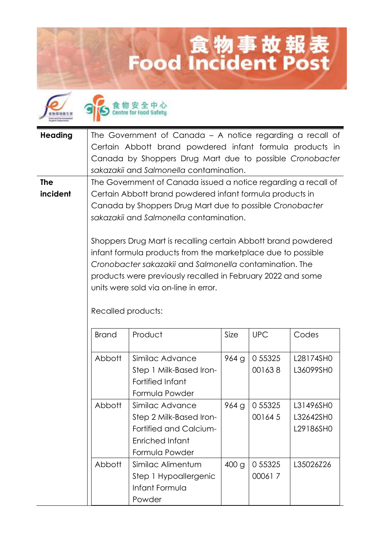## 食物事故報表<br>Food Incident Post





| <b>Heading</b> | The Government of Canada - A notice regarding a recall of      |
|----------------|----------------------------------------------------------------|
|                | Certain Abbott brand powdered infant formula products in       |
|                | Canada by Shoppers Drug Mart due to possible Cronobacter       |
|                | sakazakii and Salmonella contamination.                        |
| <b>The</b>     | The Government of Canada issued a notice regarding a recall of |
| incident       | Certain Abbott brand powdered infant formula products in       |
|                | Canada by Shoppers Drug Mart due to possible Cronobacter       |
|                | sakazakii and Salmonella contamination.                        |
|                |                                                                |

Shoppers Drug Mart is recalling certain Abbott brand powdered infant formula products from the marketplace due to possible *Cronobacter sakazakii* and *Salmonella* contamination. The products were previously recalled in February 2022 and some units were sold via on-line in error.

| <b>Brand</b> | Product                 | Size             | <b>UPC</b> | Codes     |
|--------------|-------------------------|------------------|------------|-----------|
| Abbott       | Similac Advance         | 964g             | 0 55325    | L28174SH0 |
|              | Step 1 Milk-Based Iron- |                  | 001638     | L36099SH0 |
|              | Fortified Infant        |                  |            |           |
|              | Formula Powder          |                  |            |           |
| Abbott       | Similac Advance         | 964g             | 0 55325    | L31496SH0 |
|              | Step 2 Milk-Based Iron- |                  | 001645     | L32642SH0 |
|              | Fortified and Calcium-  |                  |            | L29186SH0 |
|              | Enriched Infant         |                  |            |           |
|              | Formula Powder          |                  |            |           |
| Abbott       | Similac Alimentum       | 400 <sub>g</sub> | 0 55325    | L35026Z26 |
|              | Step 1 Hypoallergenic   |                  | 000617     |           |
|              | Infant Formula          |                  |            |           |
|              | Powder                  |                  |            |           |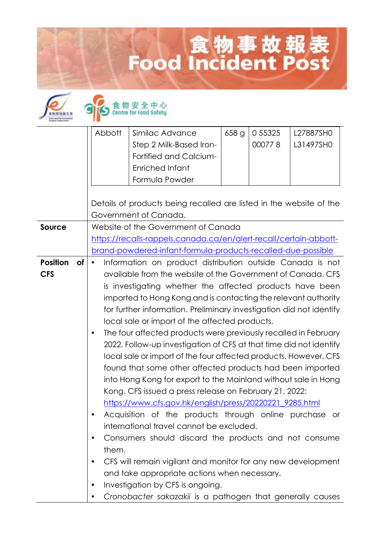## **Lood Incident Post**



## 食物安全中心

|                 |           | Abbott                                                            | Similac Advance                                                     | 658 g | 0 5 5 3 2 5 | L27887SH0 |
|-----------------|-----------|-------------------------------------------------------------------|---------------------------------------------------------------------|-------|-------------|-----------|
|                 |           |                                                                   | Step 2 Milk-Based Iron-                                             |       | 000778      | L31497SHO |
|                 |           |                                                                   | Fortified and Calcium-                                              |       |             |           |
|                 |           |                                                                   | Enriched Infant                                                     |       |             |           |
|                 |           |                                                                   | Formula Powder                                                      |       |             |           |
|                 |           |                                                                   |                                                                     |       |             |           |
|                 |           |                                                                   | Details of products being recalled are listed in the website of the |       |             |           |
|                 |           |                                                                   | Government of Canada.                                               |       |             |           |
| Source          |           | Website of the Government of Canada                               |                                                                     |       |             |           |
|                 |           | https://recalls-rappels.canada.ca/en/alert-recall/certain-abbott- |                                                                     |       |             |           |
|                 |           |                                                                   | brand-powdered-infant-formula-products-recalled-due-possible        |       |             |           |
| <b>Position</b> | <b>of</b> |                                                                   | Information on product distribution outside Canada is not           |       |             |           |
| <b>CFS</b>      |           |                                                                   | available from the website of the Government of Canada. CFS         |       |             |           |
|                 |           |                                                                   | is investigating whether the affected products have been            |       |             |           |
|                 |           | imported to Hong Kong and is contacting the relevant authority    |                                                                     |       |             |           |
|                 |           |                                                                   | for further information. Preliminary investigation did not identify |       |             |           |
|                 |           |                                                                   | local sale or import of the affected products.                      |       |             |           |
|                 |           |                                                                   | The four affected products were previously recalled in February     |       |             |           |
|                 |           |                                                                   | 2022. Follow-up investigation of CFS at that time did not identify  |       |             |           |
|                 |           |                                                                   | local sale or import of the four affected products. However, CFS    |       |             |           |
|                 |           |                                                                   | found that some other affected products had been imported           |       |             |           |
|                 |           |                                                                   | into Hong Kong for export to the Mainland without sale in Hong      |       |             |           |
|                 |           |                                                                   | Kong. CFS issued a press release on February 21, 2022:              |       |             |           |
|                 |           |                                                                   | https://www.cfs.gov.hk/english/press/20220221_9285.html             |       |             |           |
|                 |           |                                                                   | Acquisition of the products through online purchase or              |       |             |           |
|                 |           |                                                                   | international travel cannot be excluded.                            |       |             |           |
|                 |           | ٠                                                                 | Consumers should discard the products and not consume               |       |             |           |
|                 |           | them.                                                             |                                                                     |       |             |           |
|                 |           |                                                                   | CFS will remain vigilant and monitor for any new development        |       |             |           |
|                 |           |                                                                   | and take appropriate actions when necessary.                        |       |             |           |
|                 |           | ٠                                                                 | Investigation by CFS is ongoing.                                    |       |             |           |
|                 |           |                                                                   | Cronobacter sakazakii is a pathogen that generally causes           |       |             |           |